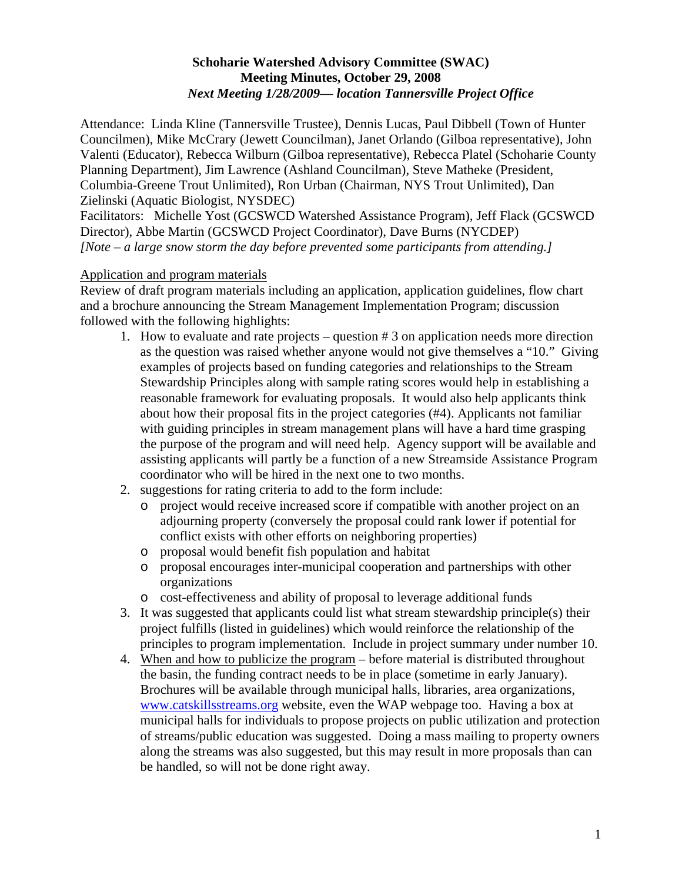## **Schoharie Watershed Advisory Committee (SWAC) Meeting Minutes, October 29, 2008**  *Next Meeting 1/28/2009–– location Tannersville Project Office*

Attendance: Linda Kline (Tannersville Trustee), Dennis Lucas, Paul Dibbell (Town of Hunter Councilmen), Mike McCrary (Jewett Councilman), Janet Orlando (Gilboa representative), John Valenti (Educator), Rebecca Wilburn (Gilboa representative), Rebecca Platel (Schoharie County Planning Department), Jim Lawrence (Ashland Councilman), Steve Matheke (President, Columbia-Greene Trout Unlimited), Ron Urban (Chairman, NYS Trout Unlimited), Dan Zielinski (Aquatic Biologist, NYSDEC)

Facilitators: Michelle Yost (GCSWCD Watershed Assistance Program), Jeff Flack (GCSWCD Director), Abbe Martin (GCSWCD Project Coordinator), Dave Burns (NYCDEP) *[Note – a large snow storm the day before prevented some participants from attending.]*

## Application and program materials

Review of draft program materials including an application, application guidelines, flow chart and a brochure announcing the Stream Management Implementation Program; discussion followed with the following highlights:

- 1. How to evaluate and rate projects question # 3 on application needs more direction as the question was raised whether anyone would not give themselves a "10." Giving examples of projects based on funding categories and relationships to the Stream Stewardship Principles along with sample rating scores would help in establishing a reasonable framework for evaluating proposals. It would also help applicants think about how their proposal fits in the project categories (#4). Applicants not familiar with guiding principles in stream management plans will have a hard time grasping the purpose of the program and will need help. Agency support will be available and assisting applicants will partly be a function of a new Streamside Assistance Program coordinator who will be hired in the next one to two months.
- 2. suggestions for rating criteria to add to the form include:
	- o project would receive increased score if compatible with another project on an adjourning property (conversely the proposal could rank lower if potential for conflict exists with other efforts on neighboring properties)
	- o proposal would benefit fish population and habitat
	- o proposal encourages inter-municipal cooperation and partnerships with other organizations
	- o cost-effectiveness and ability of proposal to leverage additional funds
- 3. It was suggested that applicants could list what stream stewardship principle(s) their project fulfills (listed in guidelines) which would reinforce the relationship of the principles to program implementation. Include in project summary under number 10.
- 4. When and how to publicize the program before material is distributed throughout the basin, the funding contract needs to be in place (sometime in early January). Brochures will be available through municipal halls, libraries, area organizations, [www.catskillsstreams.org](http://www.catskillsstreams.org/) website, even the WAP webpage too. Having a box at municipal halls for individuals to propose projects on public utilization and protection of streams/public education was suggested. Doing a mass mailing to property owners along the streams was also suggested, but this may result in more proposals than can be handled, so will not be done right away.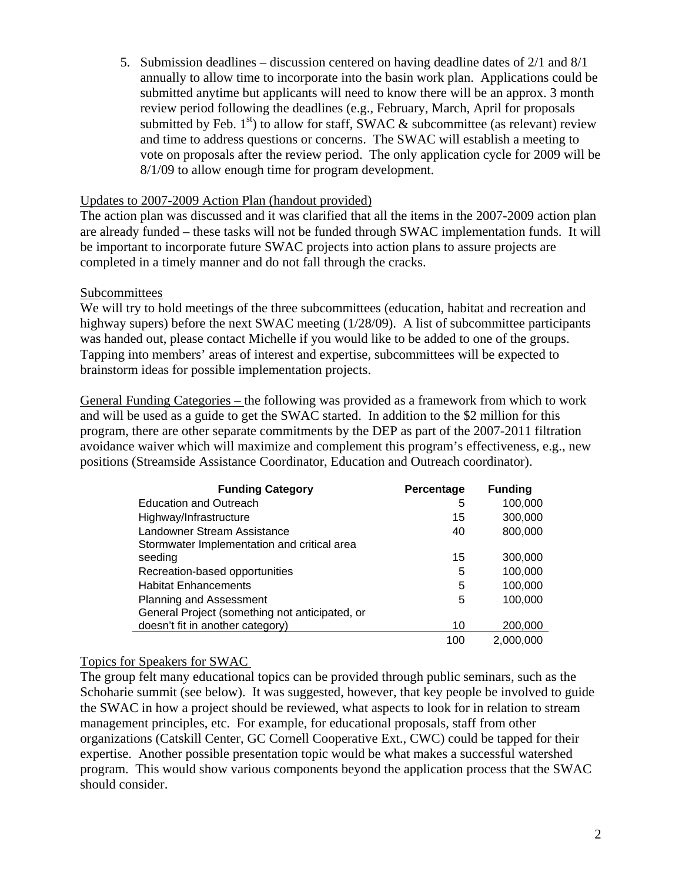5. Submission deadlines – discussion centered on having deadline dates of 2/1 and 8/1 annually to allow time to incorporate into the basin work plan. Applications could be submitted anytime but applicants will need to know there will be an approx. 3 month review period following the deadlines (e.g., February, March, April for proposals submitted by Feb.  $1<sup>st</sup>$ ) to allow for staff, SWAC & subcommittee (as relevant) review and time to address questions or concerns. The SWAC will establish a meeting to vote on proposals after the review period. The only application cycle for 2009 will be 8/1/09 to allow enough time for program development.

#### Updates to 2007-2009 Action Plan (handout provided)

The action plan was discussed and it was clarified that all the items in the 2007-2009 action plan are already funded – these tasks will not be funded through SWAC implementation funds. It will be important to incorporate future SWAC projects into action plans to assure projects are completed in a timely manner and do not fall through the cracks.

## Subcommittees

We will try to hold meetings of the three subcommittees (education, habitat and recreation and highway supers) before the next SWAC meeting (1/28/09). A list of subcommittee participants was handed out, please contact Michelle if you would like to be added to one of the groups. Tapping into members' areas of interest and expertise, subcommittees will be expected to brainstorm ideas for possible implementation projects.

General Funding Categories – the following was provided as a framework from which to work and will be used as a guide to get the SWAC started. In addition to the \$2 million for this program, there are other separate commitments by the DEP as part of the 2007-2011 filtration avoidance waiver which will maximize and complement this program's effectiveness, e.g., new positions (Streamside Assistance Coordinator, Education and Outreach coordinator).

| <b>Funding Category</b>                        | Percentage | <b>Funding</b> |
|------------------------------------------------|------------|----------------|
| <b>Education and Outreach</b>                  | 5          | 100,000        |
| Highway/Infrastructure                         | 15         | 300,000        |
| Landowner Stream Assistance                    | 40         | 800,000        |
| Stormwater Implementation and critical area    |            |                |
| seeding                                        | 15         | 300,000        |
| Recreation-based opportunities                 | 5          | 100,000        |
| <b>Habitat Enhancements</b>                    | 5          | 100,000        |
| <b>Planning and Assessment</b>                 | 5          | 100,000        |
| General Project (something not anticipated, or |            |                |
| doesn't fit in another category)               | 10         | 200,000        |
|                                                | 100        | 2,000,000      |

## Topics for Speakers for SWAC

÷

The group felt many educational topics can be provided through public seminars, such as the Schoharie summit (see below). It was suggested, however, that key people be involved to guide the SWAC in how a project should be reviewed, what aspects to look for in relation to stream management principles, etc. For example, for educational proposals, staff from other organizations (Catskill Center, GC Cornell Cooperative Ext., CWC) could be tapped for their expertise. Another possible presentation topic would be what makes a successful watershed program. This would show various components beyond the application process that the SWAC should consider.